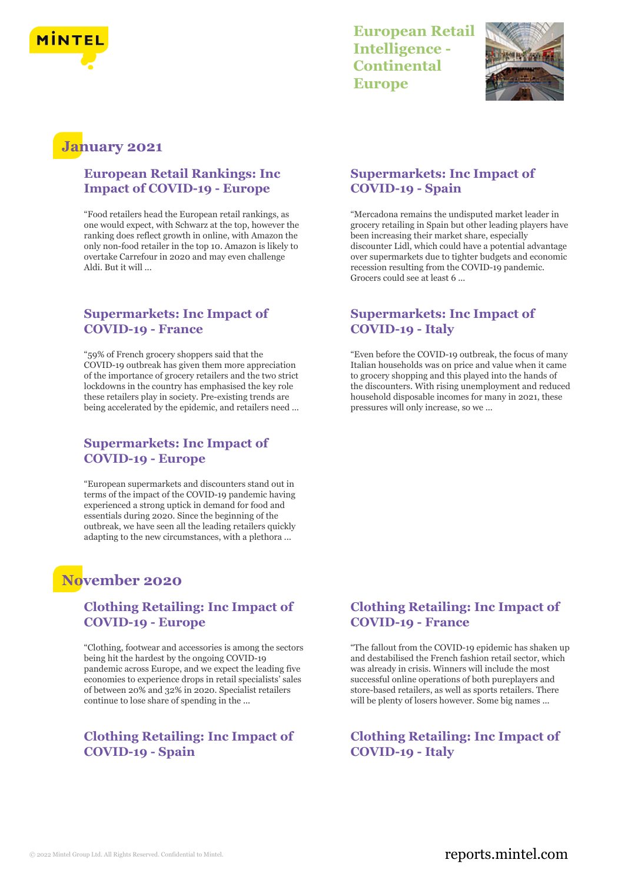



## **January 2021**

#### **European Retail Rankings: Inc Impact of COVID-19 - Europe**

"Food retailers head the European retail rankings, as one would expect, with Schwarz at the top, however the ranking does reflect growth in online, with Amazon the only non-food retailer in the top 10. Amazon is likely to overtake Carrefour in 2020 and may even challenge Aldi. But it will ...

## **Supermarkets: Inc Impact of COVID-19 - France**

"59% of French grocery shoppers said that the COVID-19 outbreak has given them more appreciation of the importance of grocery retailers and the two strict lockdowns in the country has emphasised the key role these retailers play in society. Pre-existing trends are being accelerated by the epidemic, and retailers need ...

## **Supermarkets: Inc Impact of COVID-19 - Europe**

"European supermarkets and discounters stand out in terms of the impact of the COVID-19 pandemic having experienced a strong uptick in demand for food and essentials during 2020. Since the beginning of the outbreak, we have seen all the leading retailers quickly adapting to the new circumstances, with a plethora ...

## **November 2020**

## **Clothing Retailing: Inc Impact of COVID-19 - Europe**

"Clothing, footwear and accessories is among the sectors being hit the hardest by the ongoing COVID-19 pandemic across Europe, and we expect the leading five economies to experience drops in retail specialists' sales of between 20% and 32% in 2020. Specialist retailers continue to lose share of spending in the ...

## **Clothing Retailing: Inc Impact of COVID-19 - Spain**

## **Supermarkets: Inc Impact of COVID-19 - Spain**

"Mercadona remains the undisputed market leader in grocery retailing in Spain but other leading players have been increasing their market share, especially discounter Lidl, which could have a potential advantage over supermarkets due to tighter budgets and economic recession resulting from the COVID-19 pandemic. Grocers could see at least 6 ...

## **Supermarkets: Inc Impact of COVID-19 - Italy**

"Even before the COVID-19 outbreak, the focus of many Italian households was on price and value when it came to grocery shopping and this played into the hands of the discounters. With rising unemployment and reduced household disposable incomes for many in 2021, these pressures will only increase, so we ...

## **Clothing Retailing: Inc Impact of COVID-19 - France**

"The fallout from the COVID-19 epidemic has shaken up and destabilised the French fashion retail sector, which was already in crisis. Winners will include the most successful online operations of both pureplayers and store-based retailers, as well as sports retailers. There will be plenty of losers however. Some big names ...

## **Clothing Retailing: Inc Impact of COVID-19 - Italy**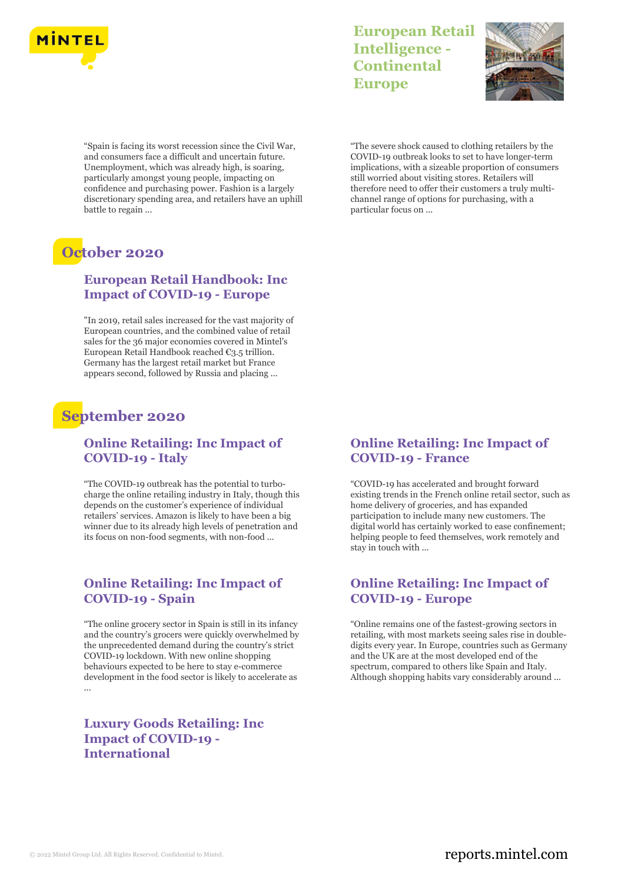

"Spain is facing its worst recession since the Civil War, and consumers face a difficult and uncertain future. Unemployment, which was already high, is soaring, particularly amongst young people, impacting on confidence and purchasing power. Fashion is a largely discretionary spending area, and retailers have an uphill battle to regain ...

## **October 2020**

#### **European Retail Handbook: Inc Impact of COVID-19 - Europe**

"In 2019, retail sales increased for the vast majority of European countries, and the combined value of retail sales for the 36 major economies covered in Mintel's European Retail Handbook reached €3.5 trillion. Germany has the largest retail market but France appears second, followed by Russia and placing ...

## **September 2020**

## **Online Retailing: Inc Impact of COVID-19 - Italy**

"The COVID-19 outbreak has the potential to turbocharge the online retailing industry in Italy, though this depends on the customer's experience of individual retailers' services. Amazon is likely to have been a big winner due to its already high levels of penetration and its focus on non-food segments, with non-food ...

## **Online Retailing: Inc Impact of COVID-19 - Spain**

"The online grocery sector in Spain is still in its infancy and the country's grocers were quickly overwhelmed by the unprecedented demand during the country's strict COVID-19 lockdown. With new online shopping behaviours expected to be here to stay e-commerce development in the food sector is likely to accelerate as ...

**Luxury Goods Retailing: Inc Impact of COVID-19 - International**

## **European Retail Intelligence - Continental Europe**



"The severe shock caused to clothing retailers by the COVID-19 outbreak looks to set to have longer-term implications, with a sizeable proportion of consumers still worried about visiting stores. Retailers will therefore need to offer their customers a truly multichannel range of options for purchasing, with a particular focus on ...

#### **Online Retailing: Inc Impact of COVID-19 - France**

"COVID-19 has accelerated and brought forward existing trends in the French online retail sector, such as home delivery of groceries, and has expanded participation to include many new customers. The digital world has certainly worked to ease confinement; helping people to feed themselves, work remotely and stay in touch with ...

#### **Online Retailing: Inc Impact of COVID-19 - Europe**

"Online remains one of the fastest-growing sectors in retailing, with most markets seeing sales rise in doubledigits every year. In Europe, countries such as Germany and the UK are at the most developed end of the spectrum, compared to others like Spain and Italy. Although shopping habits vary considerably around ...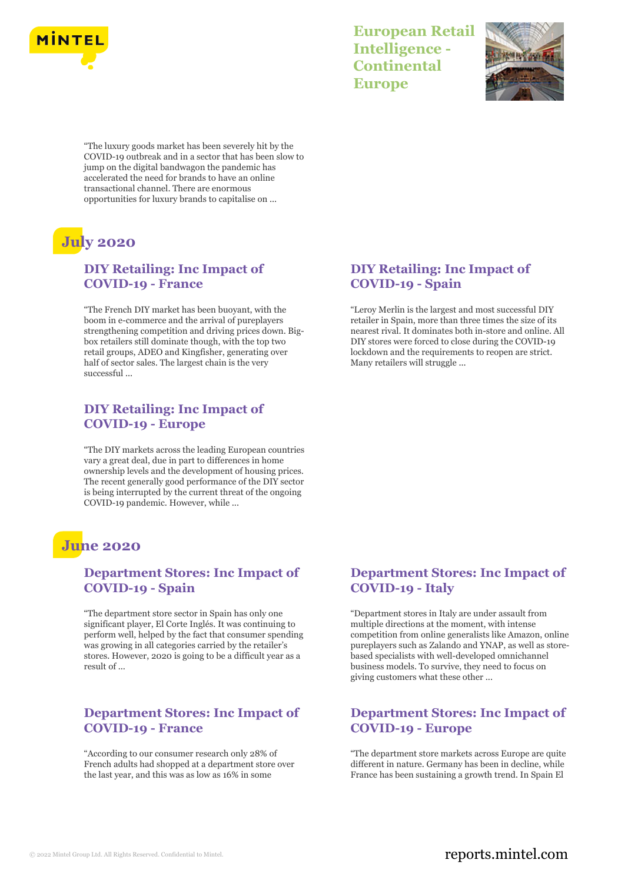



"The luxury goods market has been severely hit by the COVID-19 outbreak and in a sector that has been slow to jump on the digital bandwagon the pandemic has accelerated the need for brands to have an online transactional channel. There are enormous opportunities for luxury brands to capitalise on ...

# **July 2020**

## **DIY Retailing: Inc Impact of COVID-19 - France**

"The French DIY market has been buoyant, with the boom in e-commerce and the arrival of pureplayers strengthening competition and driving prices down. Bigbox retailers still dominate though, with the top two retail groups, ADEO and Kingfisher, generating over half of sector sales. The largest chain is the very successful

## **DIY Retailing: Inc Impact of COVID-19 - Europe**

"The DIY markets across the leading European countries vary a great deal, due in part to differences in home ownership levels and the development of housing prices. The recent generally good performance of the DIY sector is being interrupted by the current threat of the ongoing COVID-19 pandemic. However, while ...

## **June 2020**

## **Department Stores: Inc Impact of COVID-19 - Spain**

"The department store sector in Spain has only one significant player, El Corte Inglés. It was continuing to perform well, helped by the fact that consumer spending was growing in all categories carried by the retailer's stores. However, 2020 is going to be a difficult year as a result of ...

## **Department Stores: Inc Impact of COVID-19 - France**

"According to our consumer research only 28% of French adults had shopped at a department store over the last year, and this was as low as 16% in some

## **DIY Retailing: Inc Impact of COVID-19 - Spain**

"Leroy Merlin is the largest and most successful DIY retailer in Spain, more than three times the size of its nearest rival. It dominates both in-store and online. All DIY stores were forced to close during the COVID-19 lockdown and the requirements to reopen are strict. Many retailers will struggle ...

## **Department Stores: Inc Impact of COVID-19 - Italy**

"Department stores in Italy are under assault from multiple directions at the moment, with intense competition from online generalists like Amazon, online pureplayers such as Zalando and YNAP, as well as storebased specialists with well-developed omnichannel business models. To survive, they need to focus on giving customers what these other ...

## **Department Stores: Inc Impact of COVID-19 - Europe**

"The department store markets across Europe are quite different in nature. Germany has been in decline, while France has been sustaining a growth trend. In Spain El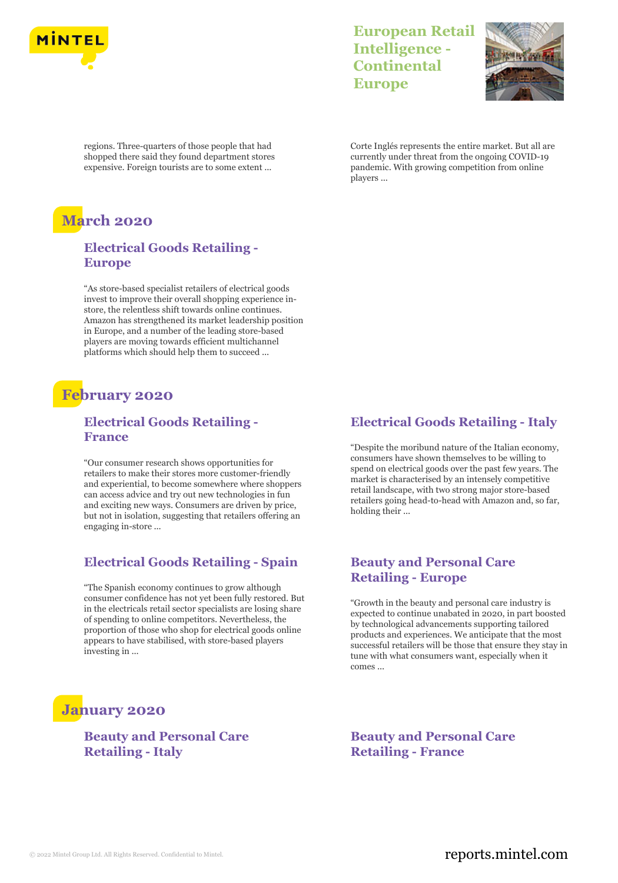



regions. Three-quarters of those people that had shopped there said they found department stores expensive. Foreign tourists are to some extent ...

# **March 2020**

## **Electrical Goods Retailing - Europe**

"As store-based specialist retailers of electrical goods invest to improve their overall shopping experience instore, the relentless shift towards online continues. Amazon has strengthened its market leadership position in Europe, and a number of the leading store-based players are moving towards efficient multichannel platforms which should help them to succeed ...

## **February 2020**

## **Electrical Goods Retailing - France**

"Our consumer research shows opportunities for retailers to make their stores more customer-friendly and experiential, to become somewhere where shoppers can access advice and try out new technologies in fun and exciting new ways. Consumers are driven by price, but not in isolation, suggesting that retailers offering an engaging in-store ...

## **Electrical Goods Retailing - Spain**

"The Spanish economy continues to grow although consumer confidence has not yet been fully restored. But in the electricals retail sector specialists are losing share of spending to online competitors. Nevertheless, the proportion of those who shop for electrical goods online appears to have stabilised, with store-based players investing in ...

## **January 2020**

## **Beauty and Personal Care Retailing - Italy**

Corte Inglés represents the entire market. But all are currently under threat from the ongoing COVID-19 pandemic. With growing competition from online players ...

## **Electrical Goods Retailing - Italy**

"Despite the moribund nature of the Italian economy, consumers have shown themselves to be willing to spend on electrical goods over the past few years. The market is characterised by an intensely competitive retail landscape, with two strong major store-based retailers going head-to-head with Amazon and, so far, holding their ...

## **Beauty and Personal Care Retailing - Europe**

"Growth in the beauty and personal care industry is expected to continue unabated in 2020, in part boosted by technological advancements supporting tailored products and experiences. We anticipate that the most successful retailers will be those that ensure they stay in tune with what consumers want, especially when it comes ...

**Beauty and Personal Care Retailing - France**